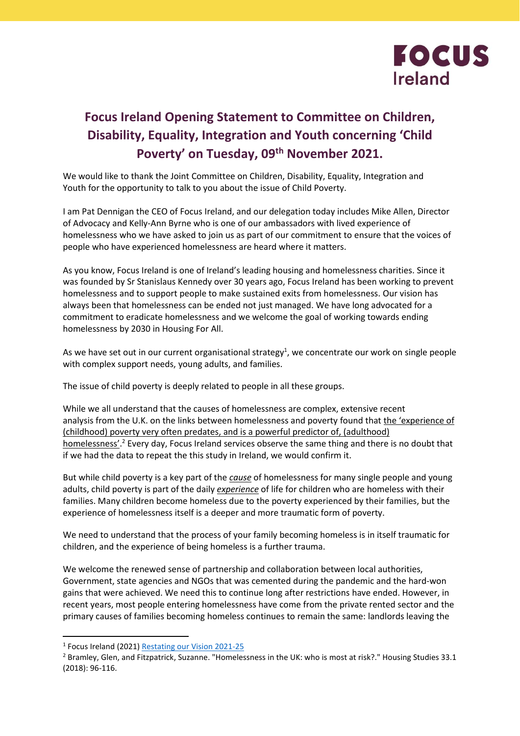

## **Focus Ireland Opening Statement to Committee on Children, Disability, Equality, Integration and Youth concerning 'Child Poverty' on Tuesday, 09th November 2021.**

We would like to thank the Joint Committee on Children, Disability, Equality, Integration and Youth for the opportunity to talk to you about the issue of Child Poverty.

I am Pat Dennigan the CEO of Focus Ireland, and our delegation today includes Mike Allen, Director of Advocacy and Kelly-Ann Byrne who is one of our ambassadors with lived experience of homelessness who we have asked to join us as part of our commitment to ensure that the voices of people who have experienced homelessness are heard where it matters.

As you know, Focus Ireland is one of Ireland's leading housing and homelessness charities. Since it was founded by Sr Stanislaus Kennedy over 30 years ago, Focus Ireland has been working to prevent homelessness and to support people to make sustained exits from homelessness. Our vision has always been that homelessness can be ended not just managed. We have long advocated for a commitment to eradicate homelessness and we welcome the goal of working towards ending homelessness by 2030 in Housing For All.

As we have set out in our current organisational strategy<sup>1</sup>, we concentrate our work on single people with complex support needs, young adults, and families.

The issue of child poverty is deeply related to people in all these groups.

While we all understand that the causes of homelessness are complex, extensive recent analysis from the U.K. on the links between homelessness and poverty found that the 'experience of (childhood) poverty very often predates, and is a powerful predictor of, (adulthood) homelessness'.<sup>2</sup> Every day, Focus Ireland services observe the same thing and there is no doubt that if we had the data to repeat the this study in Ireland, we would confirm it.

But while child poverty is a key part of the *cause* of homelessness for many single people and young adults, child poverty is part of the daily *experience* of life for children who are homeless with their families. Many children become homeless due to the poverty experienced by their families, but the experience of homelessness itself is a deeper and more traumatic form of poverty.

We need to understand that the process of your family becoming homeless is in itself traumatic for children, and the experience of being homeless is a further trauma.

We welcome the renewed sense of partnership and collaboration between local authorities, Government, state agencies and NGOs that was cemented during the pandemic and the hard-won gains that were achieved. We need this to continue long after restrictions have ended. However, in recent years, most people entering homelessness have come from the private rented sector and the primary causes of families becoming homeless continues to remain the same: landlords leaving the

<sup>&</sup>lt;sup>1</sup> Focus Ireland (2021[\) Restating our Vision 2021-25](https://bit.ly/FIVision21-25)

<sup>&</sup>lt;sup>2</sup> Bramley, Glen, and Fitzpatrick, Suzanne. "Homelessness in the UK: who is most at risk?." Housing Studies 33.1 (2018): 96-116.